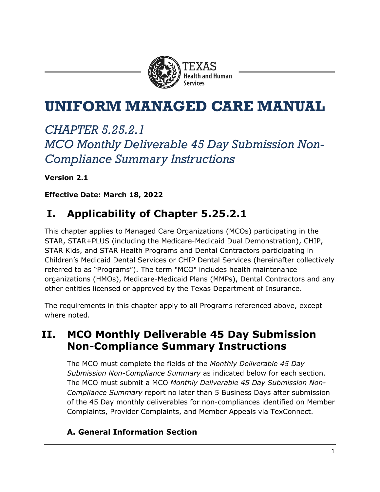

# **UNIFORM MANAGED CARE MANUAL**

# *CHAPTER 5.25.2.1 MCO Monthly Deliverable 45 Day Submission Non-Compliance Summary Instructions*

**Version 2.1**

**Effective Date: March 18, 2022**

## **I. Applicability of Chapter 5.25.2.1**

This chapter applies to Managed Care Organizations (MCOs) participating in the STAR, STAR+PLUS (including the Medicare-Medicaid Dual Demonstration), CHIP, STAR Kids, and STAR Health Programs and Dental Contractors participating in Children's Medicaid Dental Services or CHIP Dental Services (hereinafter collectively referred to as "Programs"). The term "MCO" includes health maintenance organizations (HMOs), Medicare-Medicaid Plans (MMPs), Dental Contractors and any other entities licensed or approved by the Texas Department of Insurance.

The requirements in this chapter apply to all Programs referenced above, except where noted.

### **II. MCO Monthly Deliverable 45 Day Submission Non-Compliance Summary Instructions**

The MCO must complete the fields of the *Monthly Deliverable 45 Day Submission Non-Compliance Summary* as indicated below for each section. The MCO must submit a MCO *Monthly Deliverable 45 Day Submission Non-Compliance Summary* report no later than 5 Business Days after submission of the 45 Day monthly deliverables for non-compliances identified on Member Complaints, Provider Complaints, and Member Appeals via TexConnect.

### **A. General Information Section**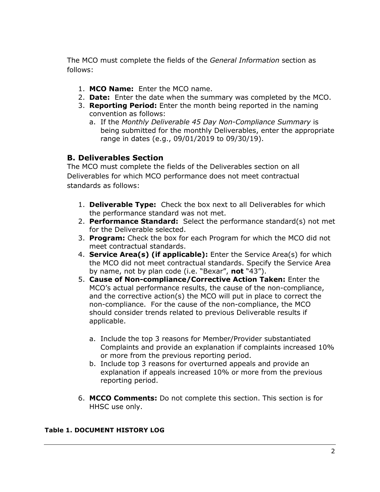The MCO must complete the fields of the *General Information* section as follows:

- 1. **MCO Name:** Enter the MCO name.
- 2. **Date:** Enter the date when the summary was completed by the MCO.
- 3. **Reporting Period:** Enter the month being reported in the naming convention as follows:
	- a. If the *Monthly Deliverable 45 Day Non-Compliance Summary* is being submitted for the monthly Deliverables, enter the appropriate range in dates (e.g., 09/01/2019 to 09/30/19).

### **B. Deliverables Section**

The MCO must complete the fields of the Deliverables section on all Deliverables for which MCO performance does not meet contractual standards as follows:

- 1. **Deliverable Type:** Check the box next to all Deliverables for which the performance standard was not met.
- 2. **Performance Standard:** Select the performance standard(s) not met for the Deliverable selected.
- 3. **Program:** Check the box for each Program for which the MCO did not meet contractual standards.
- 4. **Service Area(s) (if applicable):** Enter the Service Area(s) for which the MCO did not meet contractual standards. Specify the Service Area by name, not by plan code (i.e. "Bexar", **not** "43").
- 5. **Cause of Non-compliance/Corrective Action Taken:** Enter the MCO's actual performance results, the cause of the non-compliance, and the corrective action(s) the MCO will put in place to correct the non-compliance. For the cause of the non-compliance, the MCO should consider trends related to previous Deliverable results if applicable.
	- a. Include the top 3 reasons for Member/Provider substantiated Complaints and provide an explanation if complaints increased 10% or more from the previous reporting period.
	- b. Include top 3 reasons for overturned appeals and provide an explanation if appeals increased 10% or more from the previous reporting period.
- 6. **MCCO Comments:** Do not complete this section. This section is for HHSC use only.

#### **Table 1. DOCUMENT HISTORY LOG**